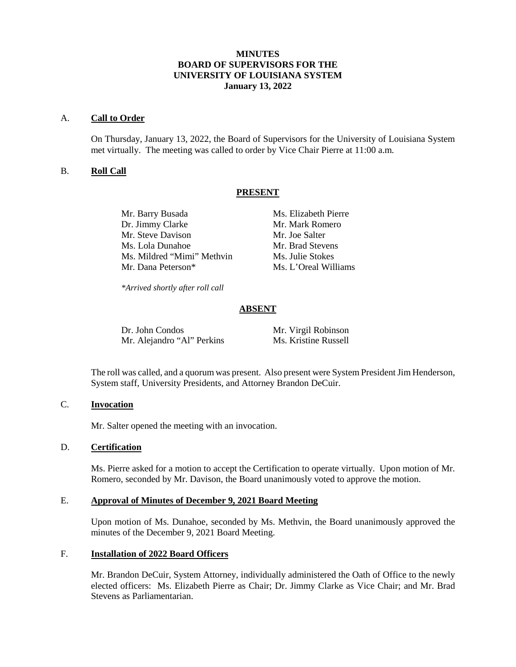# **MINUTES BOARD OF SUPERVISORS FOR THE UNIVERSITY OF LOUISIANA SYSTEM January 13, 2022**

#### A. **Call to Order**

On Thursday, January 13, 2022, the Board of Supervisors for the University of Louisiana System met virtually. The meeting was called to order by Vice Chair Pierre at 11:00 a.m.

# B. **Roll Call**

#### **PRESENT**

Mr. Barry Busada Ms. Elizabeth Pierre Dr. Jimmy Clarke Mr. Mark Romero Mr. Steve Davison Mr. Joe Salter Ms. Lola Dunahoe Mr. Brad Stevens Ms. Mildred "Mimi" Methvin Ms. Julie Stokes Mr. Dana Peterson\* Ms. L'Oreal Williams

*\*Arrived shortly after roll call*

### **ABSENT**

Dr. John Condos Mr. Virgil Robinson Mr. Alejandro "Al" Perkins Ms. Kristine Russell

The roll was called, and a quorum was present. Also present were System President Jim Henderson, System staff, University Presidents, and Attorney Brandon DeCuir.

# C. **Invocation**

Mr. Salter opened the meeting with an invocation.

# D. **Certification**

Ms. Pierre asked for a motion to accept the Certification to operate virtually. Upon motion of Mr. Romero, seconded by Mr. Davison, the Board unanimously voted to approve the motion.

### E. **Approval of Minutes of December 9, 2021 Board Meeting**

Upon motion of Ms. Dunahoe, seconded by Ms. Methvin, the Board unanimously approved the minutes of the December 9, 2021 Board Meeting.

#### F. **Installation of 2022 Board Officers**

Mr. Brandon DeCuir, System Attorney, individually administered the Oath of Office to the newly elected officers: Ms. Elizabeth Pierre as Chair; Dr. Jimmy Clarke as Vice Chair; and Mr. Brad Stevens as Parliamentarian.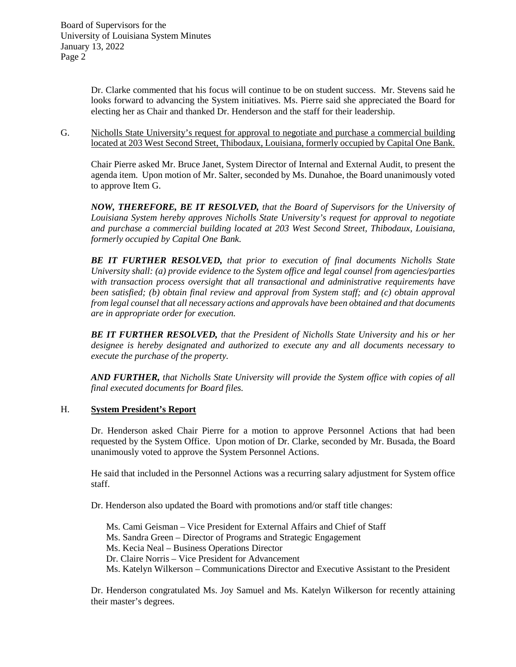Dr. Clarke commented that his focus will continue to be on student success. Mr. Stevens said he looks forward to advancing the System initiatives. Ms. Pierre said she appreciated the Board for electing her as Chair and thanked Dr. Henderson and the staff for their leadership.

G. Nicholls State University's request for approval to negotiate and purchase a commercial building located at 203 West Second Street, Thibodaux, Louisiana, formerly occupied by Capital One Bank.

Chair Pierre asked Mr. Bruce Janet, System Director of Internal and External Audit, to present the agenda item. Upon motion of Mr. Salter, seconded by Ms. Dunahoe, the Board unanimously voted to approve Item G.

*NOW, THEREFORE, BE IT RESOLVED, that the Board of Supervisors for the University of Louisiana System hereby approves Nicholls State University's request for approval to negotiate and purchase a commercial building located at 203 West Second Street, Thibodaux, Louisiana, formerly occupied by Capital One Bank.*

*BE IT FURTHER RESOLVED, that prior to execution of final documents Nicholls State University shall: (a) provide evidence to the System office and legal counsel from agencies/parties with transaction process oversight that all transactional and administrative requirements have been satisfied; (b) obtain final review and approval from System staff; and (c) obtain approval from legal counsel that all necessary actions and approvals have been obtained and that documents are in appropriate order for execution.*

*BE IT FURTHER RESOLVED, that the President of Nicholls State University and his or her designee is hereby designated and authorized to execute any and all documents necessary to execute the purchase of the property.*

*AND FURTHER, that Nicholls State University will provide the System office with copies of all final executed documents for Board files.*

# H. **System President's Report**

Dr. Henderson asked Chair Pierre for a motion to approve Personnel Actions that had been requested by the System Office. Upon motion of Dr. Clarke, seconded by Mr. Busada, the Board unanimously voted to approve the System Personnel Actions.

He said that included in the Personnel Actions was a recurring salary adjustment for System office staff.

Dr. Henderson also updated the Board with promotions and/or staff title changes:

Ms. Cami Geisman – Vice President for External Affairs and Chief of Staff Ms. Sandra Green – Director of Programs and Strategic Engagement Ms. Kecia Neal – Business Operations Director Dr. Claire Norris – Vice President for Advancement Ms. Katelyn Wilkerson – Communications Director and Executive Assistant to the President

Dr. Henderson congratulated Ms. Joy Samuel and Ms. Katelyn Wilkerson for recently attaining their master's degrees.